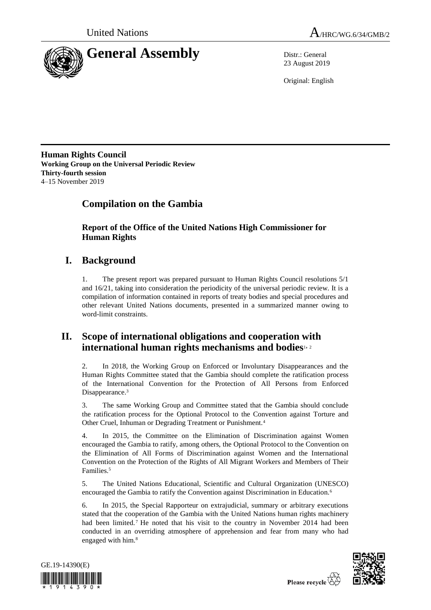



23 August 2019

Original: English

**Human Rights Council Working Group on the Universal Periodic Review Thirty-fourth session** 4–15 November 2019

# **Compilation on the Gambia**

**Report of the Office of the United Nations High Commissioner for Human Rights**

# **I. Background**

1. The present report was prepared pursuant to Human Rights Council resolutions 5/1 and 16/21, taking into consideration the periodicity of the universal periodic review. It is a compilation of information contained in reports of treaty bodies and special procedures and other relevant United Nations documents, presented in a summarized manner owing to word-limit constraints.

## **II. Scope of international obligations and cooperation with international human rights mechanisms and bodies**1, <sup>2</sup>

2. In 2018, the Working Group on Enforced or Involuntary Disappearances and the Human Rights Committee stated that the Gambia should complete the ratification process of the International Convention for the Protection of All Persons from Enforced Disappearance.<sup>3</sup>

3. The same Working Group and Committee stated that the Gambia should conclude the ratification process for the Optional Protocol to the Convention against Torture and Other Cruel, Inhuman or Degrading Treatment or Punishment.<sup>4</sup>

4. In 2015, the Committee on the Elimination of Discrimination against Women encouraged the Gambia to ratify, among others, the Optional Protocol to the Convention on the Elimination of All Forms of Discrimination against Women and the International Convention on the Protection of the Rights of All Migrant Workers and Members of Their Families.<sup>5</sup>

5. The United Nations Educational, Scientific and Cultural Organization (UNESCO) encouraged the Gambia to ratify the Convention against Discrimination in Education.<sup>6</sup>

6. In 2015, the Special Rapporteur on extrajudicial, summary or arbitrary executions stated that the cooperation of the Gambia with the United Nations human rights machinery had been limited.<sup>7</sup> He noted that his visit to the country in November 2014 had been conducted in an overriding atmosphere of apprehension and fear from many who had engaged with him.<sup>8</sup>



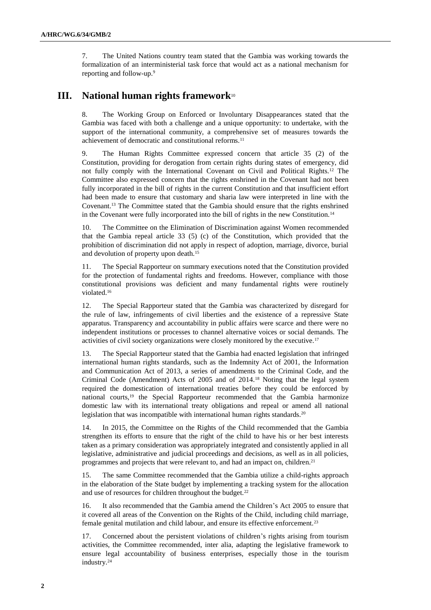7. The United Nations country team stated that the Gambia was working towards the formalization of an interministerial task force that would act as a national mechanism for reporting and follow-up.<sup>9</sup>

## **III. National human rights framework**<sup>10</sup>

8. The Working Group on Enforced or Involuntary Disappearances stated that the Gambia was faced with both a challenge and a unique opportunity: to undertake, with the support of the international community, a comprehensive set of measures towards the achievement of democratic and constitutional reforms.<sup>11</sup>

9. The Human Rights Committee expressed concern that article 35 (2) of the Constitution, providing for derogation from certain rights during states of emergency, did not fully comply with the International Covenant on Civil and Political Rights.<sup>12</sup> The Committee also expressed concern that the rights enshrined in the Covenant had not been fully incorporated in the bill of rights in the current Constitution and that insufficient effort had been made to ensure that customary and sharia law were interpreted in line with the Covenant.<sup>13</sup> The Committee stated that the Gambia should ensure that the rights enshrined in the Covenant were fully incorporated into the bill of rights in the new Constitution.<sup>14</sup>

10. The Committee on the Elimination of Discrimination against Women recommended that the Gambia repeal article  $33(5)$  (c) of the Constitution, which provided that the prohibition of discrimination did not apply in respect of adoption, marriage, divorce, burial and devolution of property upon death.<sup>15</sup>

11. The Special Rapporteur on summary executions noted that the Constitution provided for the protection of fundamental rights and freedoms. However, compliance with those constitutional provisions was deficient and many fundamental rights were routinely violated.<sup>16</sup>

12. The Special Rapporteur stated that the Gambia was characterized by disregard for the rule of law, infringements of civil liberties and the existence of a repressive State apparatus. Transparency and accountability in public affairs were scarce and there were no independent institutions or processes to channel alternative voices or social demands. The activities of civil society organizations were closely monitored by the executive.<sup>17</sup>

13. The Special Rapporteur stated that the Gambia had enacted legislation that infringed international human rights standards, such as the Indemnity Act of 2001, the Information and Communication Act of 2013, a series of amendments to the Criminal Code, and the Criminal Code (Amendment) Acts of 2005 and of 2014.<sup>18</sup> Noting that the legal system required the domestication of international treaties before they could be enforced by national courts,<sup>19</sup> the Special Rapporteur recommended that the Gambia harmonize domestic law with its international treaty obligations and repeal or amend all national legislation that was incompatible with international human rights standards.<sup>20</sup>

14. In 2015, the Committee on the Rights of the Child recommended that the Gambia strengthen its efforts to ensure that the right of the child to have his or her best interests taken as a primary consideration was appropriately integrated and consistently applied in all legislative, administrative and judicial proceedings and decisions, as well as in all policies, programmes and projects that were relevant to, and had an impact on, children.<sup>21</sup>

15. The same Committee recommended that the Gambia utilize a child-rights approach in the elaboration of the State budget by implementing a tracking system for the allocation and use of resources for children throughout the budget.<sup>22</sup>

16. It also recommended that the Gambia amend the Children's Act 2005 to ensure that it covered all areas of the Convention on the Rights of the Child, including child marriage, female genital mutilation and child labour, and ensure its effective enforcement.<sup>23</sup>

17. Concerned about the persistent violations of children's rights arising from tourism activities, the Committee recommended, inter alia, adapting the legislative framework to ensure legal accountability of business enterprises, especially those in the tourism industry.24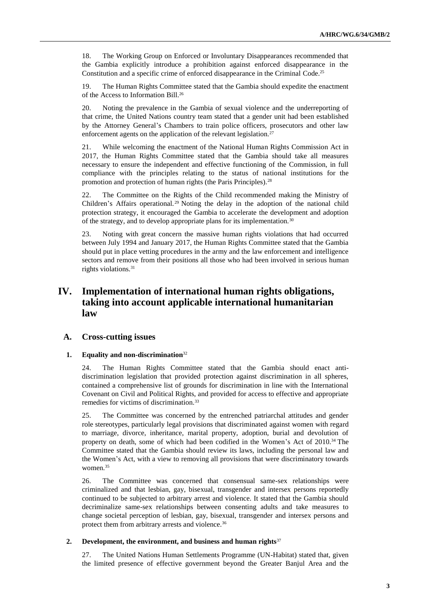18. The Working Group on Enforced or Involuntary Disappearances recommended that the Gambia explicitly introduce a prohibition against enforced disappearance in the Constitution and a specific crime of enforced disappearance in the Criminal Code.<sup>25</sup>

19. The Human Rights Committee stated that the Gambia should expedite the enactment of the Access to Information Bill.<sup>26</sup>

20. Noting the prevalence in the Gambia of sexual violence and the underreporting of that crime, the United Nations country team stated that a gender unit had been established by the Attorney General's Chambers to train police officers, prosecutors and other law enforcement agents on the application of the relevant legislation.<sup>27</sup>

21. While welcoming the enactment of the National Human Rights Commission Act in 2017, the Human Rights Committee stated that the Gambia should take all measures necessary to ensure the independent and effective functioning of the Commission, in full compliance with the principles relating to the status of national institutions for the promotion and protection of human rights (the Paris Principles).<sup>28</sup>

22. The Committee on the Rights of the Child recommended making the Ministry of Children's Affairs operational.<sup>29</sup> Noting the delay in the adoption of the national child protection strategy, it encouraged the Gambia to accelerate the development and adoption of the strategy, and to develop appropriate plans for its implementation.<sup>30</sup>

23. Noting with great concern the massive human rights violations that had occurred between July 1994 and January 2017, the Human Rights Committee stated that the Gambia should put in place vetting procedures in the army and the law enforcement and intelligence sectors and remove from their positions all those who had been involved in serious human rights violations.<sup>31</sup>

## **IV. Implementation of international human rights obligations, taking into account applicable international humanitarian law**

## **A. Cross-cutting issues**

## **1. Equality and non-discrimination**<sup>32</sup>

24. The Human Rights Committee stated that the Gambia should enact antidiscrimination legislation that provided protection against discrimination in all spheres, contained a comprehensive list of grounds for discrimination in line with the International Covenant on Civil and Political Rights, and provided for access to effective and appropriate remedies for victims of discrimination.<sup>33</sup>

25. The Committee was concerned by the entrenched patriarchal attitudes and gender role stereotypes, particularly legal provisions that discriminated against women with regard to marriage, divorce, inheritance, marital property, adoption, burial and devolution of property on death, some of which had been codified in the Women's Act of 2010.<sup>34</sup> The Committee stated that the Gambia should review its laws, including the personal law and the Women's Act, with a view to removing all provisions that were discriminatory towards women.<sup>35</sup>

26. The Committee was concerned that consensual same-sex relationships were criminalized and that lesbian, gay, bisexual, transgender and intersex persons reportedly continued to be subjected to arbitrary arrest and violence. It stated that the Gambia should decriminalize same-sex relationships between consenting adults and take measures to change societal perception of lesbian, gay, bisexual, transgender and intersex persons and protect them from arbitrary arrests and violence.<sup>36</sup>

### **2. Development, the environment, and business and human rights**<sup>37</sup>

27. The United Nations Human Settlements Programme (UN-Habitat) stated that, given the limited presence of effective government beyond the Greater Banjul Area and the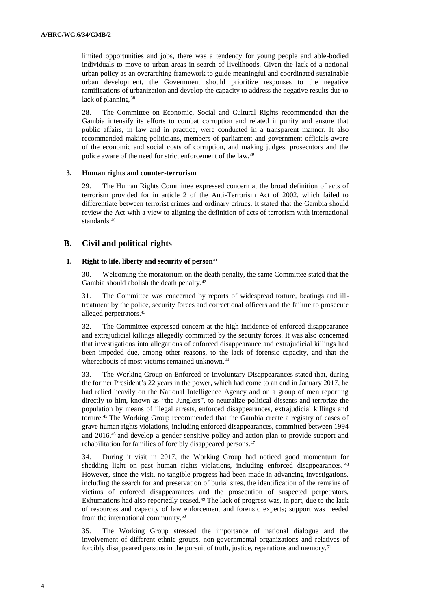limited opportunities and jobs, there was a tendency for young people and able-bodied individuals to move to urban areas in search of livelihoods. Given the lack of a national urban policy as an overarching framework to guide meaningful and coordinated sustainable urban development, the Government should prioritize responses to the negative ramifications of urbanization and develop the capacity to address the negative results due to lack of planning.<sup>38</sup>

28. The Committee on Economic, Social and Cultural Rights recommended that the Gambia intensify its efforts to combat corruption and related impunity and ensure that public affairs, in law and in practice, were conducted in a transparent manner. It also recommended making politicians, members of parliament and government officials aware of the economic and social costs of corruption, and making judges, prosecutors and the police aware of the need for strict enforcement of the law.<sup>39</sup>

## **3. Human rights and counter-terrorism**

29. The Human Rights Committee expressed concern at the broad definition of acts of terrorism provided for in article 2 of the Anti-Terrorism Act of 2002, which failed to differentiate between terrorist crimes and ordinary crimes. It stated that the Gambia should review the Act with a view to aligning the definition of acts of terrorism with international standards.<sup>40</sup>

## **B. Civil and political rights**

### **1. Right to life, liberty and security of person**<sup>41</sup>

30. Welcoming the moratorium on the death penalty, the same Committee stated that the Gambia should abolish the death penalty.<sup>42</sup>

31. The Committee was concerned by reports of widespread torture, beatings and illtreatment by the police, security forces and correctional officers and the failure to prosecute alleged perpetrators.<sup>43</sup>

32. The Committee expressed concern at the high incidence of enforced disappearance and extrajudicial killings allegedly committed by the security forces. It was also concerned that investigations into allegations of enforced disappearance and extrajudicial killings had been impeded due, among other reasons, to the lack of forensic capacity, and that the whereabouts of most victims remained unknown.<sup>44</sup>

33. The Working Group on Enforced or Involuntary Disappearances stated that, during the former President's 22 years in the power, which had come to an end in January 2017, he had relied heavily on the National Intelligence Agency and on a group of men reporting directly to him, known as "the Junglers", to neutralize political dissents and terrorize the population by means of illegal arrests, enforced disappearances, extrajudicial killings and torture.<sup>45</sup> The Working Group recommended that the Gambia create a registry of cases of grave human rights violations, including enforced disappearances, committed between 1994 and 2016,<sup>46</sup> and develop a gender-sensitive policy and action plan to provide support and rehabilitation for families of forcibly disappeared persons.<sup>47</sup>

34. During it visit in 2017, the Working Group had noticed good momentum for shedding light on past human rights violations, including enforced disappearances.<sup>48</sup> However, since the visit, no tangible progress had been made in advancing investigations, including the search for and preservation of burial sites, the identification of the remains of victims of enforced disappearances and the prosecution of suspected perpetrators. Exhumations had also reportedly ceased.<sup>49</sup> The lack of progress was, in part, due to the lack of resources and capacity of law enforcement and forensic experts; support was needed from the international community.<sup>50</sup>

35. The Working Group stressed the importance of national dialogue and the involvement of different ethnic groups, non-governmental organizations and relatives of forcibly disappeared persons in the pursuit of truth, justice, reparations and memory.<sup>51</sup>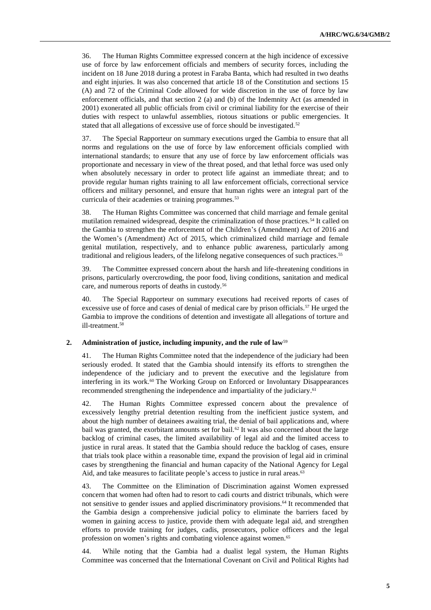36. The Human Rights Committee expressed concern at the high incidence of excessive use of force by law enforcement officials and members of security forces, including the incident on 18 June 2018 during a protest in Faraba Banta, which had resulted in two deaths and eight injuries. It was also concerned that article 18 of the Constitution and sections 15 (A) and 72 of the Criminal Code allowed for wide discretion in the use of force by law enforcement officials, and that section 2 (a) and (b) of the Indemnity Act (as amended in 2001) exonerated all public officials from civil or criminal liability for the exercise of their duties with respect to unlawful assemblies, riotous situations or public emergencies. It stated that all allegations of excessive use of force should be investigated.<sup>52</sup>

37. The Special Rapporteur on summary executions urged the Gambia to ensure that all norms and regulations on the use of force by law enforcement officials complied with international standards; to ensure that any use of force by law enforcement officials was proportionate and necessary in view of the threat posed, and that lethal force was used only when absolutely necessary in order to protect life against an immediate threat; and to provide regular human rights training to all law enforcement officials, correctional service officers and military personnel, and ensure that human rights were an integral part of the curricula of their academies or training programmes.<sup>53</sup>

38. The Human Rights Committee was concerned that child marriage and female genital mutilation remained widespread, despite the criminalization of those practices.<sup>54</sup> It called on the Gambia to strengthen the enforcement of the Children's (Amendment) Act of 2016 and the Women's (Amendment) Act of 2015, which criminalized child marriage and female genital mutilation, respectively, and to enhance public awareness, particularly among traditional and religious leaders, of the lifelong negative consequences of such practices.<sup>55</sup>

39. The Committee expressed concern about the harsh and life-threatening conditions in prisons, particularly overcrowding, the poor food, living conditions, sanitation and medical care, and numerous reports of deaths in custody.<sup>56</sup>

40. The Special Rapporteur on summary executions had received reports of cases of excessive use of force and cases of denial of medical care by prison officials.<sup>57</sup> He urged the Gambia to improve the conditions of detention and investigate all allegations of torture and ill-treatment.<sup>58</sup>

### **2. Administration of justice, including impunity, and the rule of law**<sup>59</sup>

41. The Human Rights Committee noted that the independence of the judiciary had been seriously eroded. It stated that the Gambia should intensify its efforts to strengthen the independence of the judiciary and to prevent the executive and the legislature from interfering in its work.<sup>60</sup> The Working Group on Enforced or Involuntary Disappearances recommended strengthening the independence and impartiality of the judiciary. 61

42. The Human Rights Committee expressed concern about the prevalence of excessively lengthy pretrial detention resulting from the inefficient justice system, and about the high number of detainees awaiting trial, the denial of bail applications and, where bail was granted, the exorbitant amounts set for bail.<sup>62</sup> It was also concerned about the large backlog of criminal cases, the limited availability of legal aid and the limited access to justice in rural areas. It stated that the Gambia should reduce the backlog of cases, ensure that trials took place within a reasonable time, expand the provision of legal aid in criminal cases by strengthening the financial and human capacity of the National Agency for Legal Aid, and take measures to facilitate people's access to justice in rural areas.<sup>63</sup>

43. The Committee on the Elimination of Discrimination against Women expressed concern that women had often had to resort to cadi courts and district tribunals, which were not sensitive to gender issues and applied discriminatory provisions.<sup>64</sup> It recommended that the Gambia design a comprehensive judicial policy to eliminate the barriers faced by women in gaining access to justice, provide them with adequate legal aid, and strengthen efforts to provide training for judges, cadis, prosecutors, police officers and the legal profession on women's rights and combating violence against women.<sup>65</sup>

44. While noting that the Gambia had a dualist legal system, the Human Rights Committee was concerned that the International Covenant on Civil and Political Rights had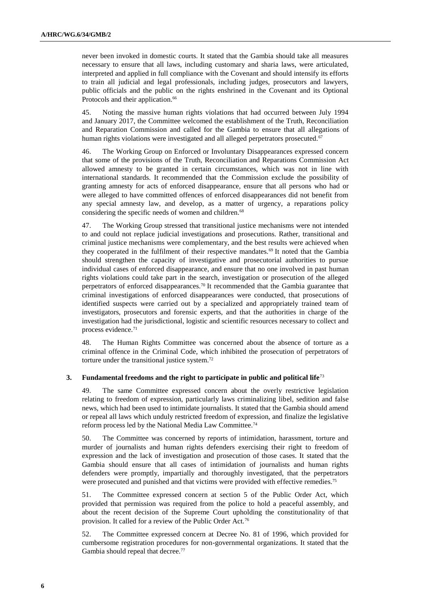never been invoked in domestic courts. It stated that the Gambia should take all measures necessary to ensure that all laws, including customary and sharia laws, were articulated, interpreted and applied in full compliance with the Covenant and should intensify its efforts to train all judicial and legal professionals, including judges, prosecutors and lawyers, public officials and the public on the rights enshrined in the Covenant and its Optional Protocols and their application.<sup>66</sup>

45. Noting the massive human rights violations that had occurred between July 1994 and January 2017, the Committee welcomed the establishment of the Truth, Reconciliation and Reparation Commission and called for the Gambia to ensure that all allegations of human rights violations were investigated and all alleged perpetrators prosecuted.<sup>67</sup>

46. The Working Group on Enforced or Involuntary Disappearances expressed concern that some of the provisions of the Truth, Reconciliation and Reparations Commission Act allowed amnesty to be granted in certain circumstances, which was not in line with international standards. It recommended that the Commission exclude the possibility of granting amnesty for acts of enforced disappearance, ensure that all persons who had or were alleged to have committed offences of enforced disappearances did not benefit from any special amnesty law, and develop, as a matter of urgency, a reparations policy considering the specific needs of women and children.<sup>68</sup>

47. The Working Group stressed that transitional justice mechanisms were not intended to and could not replace judicial investigations and prosecutions. Rather, transitional and criminal justice mechanisms were complementary, and the best results were achieved when they cooperated in the fulfilment of their respective mandates.<sup>69</sup> It noted that the Gambia should strengthen the capacity of investigative and prosecutorial authorities to pursue individual cases of enforced disappearance, and ensure that no one involved in past human rights violations could take part in the search, investigation or prosecution of the alleged perpetrators of enforced disappearances.<sup>70</sup> It recommended that the Gambia guarantee that criminal investigations of enforced disappearances were conducted, that prosecutions of identified suspects were carried out by a specialized and appropriately trained team of investigators, prosecutors and forensic experts, and that the authorities in charge of the investigation had the jurisdictional, logistic and scientific resources necessary to collect and process evidence.<sup>71</sup>

48. The Human Rights Committee was concerned about the absence of torture as a criminal offence in the Criminal Code, which inhibited the prosecution of perpetrators of torture under the transitional justice system.<sup>72</sup>

#### **3. Fundamental freedoms and the right to participate in public and political life**<sup>73</sup>

49. The same Committee expressed concern about the overly restrictive legislation relating to freedom of expression, particularly laws criminalizing libel, sedition and false news, which had been used to intimidate journalists. It stated that the Gambia should amend or repeal all laws which unduly restricted freedom of expression, and finalize the legislative reform process led by the National Media Law Committee.<sup>74</sup>

50. The Committee was concerned by reports of intimidation, harassment, torture and murder of journalists and human rights defenders exercising their right to freedom of expression and the lack of investigation and prosecution of those cases. It stated that the Gambia should ensure that all cases of intimidation of journalists and human rights defenders were promptly, impartially and thoroughly investigated, that the perpetrators were prosecuted and punished and that victims were provided with effective remedies.<sup>75</sup>

51. The Committee expressed concern at section 5 of the Public Order Act, which provided that permission was required from the police to hold a peaceful assembly, and about the recent decision of the Supreme Court upholding the constitutionality of that provision. It called for a review of the Public Order Act.<sup>76</sup>

52. The Committee expressed concern at Decree No. 81 of 1996, which provided for cumbersome registration procedures for non-governmental organizations. It stated that the Gambia should repeal that decree.<sup>77</sup>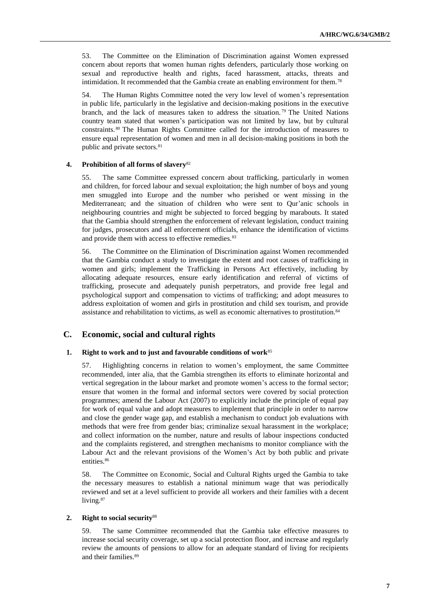53. The Committee on the Elimination of Discrimination against Women expressed concern about reports that women human rights defenders, particularly those working on sexual and reproductive health and rights, faced harassment, attacks, threats and intimidation. It recommended that the Gambia create an enabling environment for them.<sup>78</sup>

54. The Human Rights Committee noted the very low level of women's representation in public life, particularly in the legislative and decision-making positions in the executive branch, and the lack of measures taken to address the situation. <sup>79</sup> The United Nations country team stated that women's participation was not limited by law, but by cultural constraints. <sup>80</sup> The Human Rights Committee called for the introduction of measures to ensure equal representation of women and men in all decision-making positions in both the public and private sectors.<sup>81</sup>

#### **4. Prohibition of all forms of slavery**<sup>82</sup>

55. The same Committee expressed concern about trafficking, particularly in women and children, for forced labour and sexual exploitation; the high number of boys and young men smuggled into Europe and the number who perished or went missing in the Mediterranean; and the situation of children who were sent to Qur'anic schools in neighbouring countries and might be subjected to forced begging by marabouts. It stated that the Gambia should strengthen the enforcement of relevant legislation, conduct training for judges, prosecutors and all enforcement officials, enhance the identification of victims and provide them with access to effective remedies.<sup>83</sup>

56. The Committee on the Elimination of Discrimination against Women recommended that the Gambia conduct a study to investigate the extent and root causes of trafficking in women and girls; implement the Trafficking in Persons Act effectively, including by allocating adequate resources, ensure early identification and referral of victims of trafficking, prosecute and adequately punish perpetrators, and provide free legal and psychological support and compensation to victims of trafficking; and adopt measures to address exploitation of women and girls in prostitution and child sex tourism, and provide assistance and rehabilitation to victims, as well as economic alternatives to prostitution.<sup>84</sup>

## **C. Economic, social and cultural rights**

### **1. Right to work and to just and favourable conditions of work**<sup>85</sup>

57. Highlighting concerns in relation to women's employment, the same Committee recommended, inter alia, that the Gambia strengthen its efforts to eliminate horizontal and vertical segregation in the labour market and promote women's access to the formal sector; ensure that women in the formal and informal sectors were covered by social protection programmes; amend the Labour Act (2007) to explicitly include the principle of equal pay for work of equal value and adopt measures to implement that principle in order to narrow and close the gender wage gap, and establish a mechanism to conduct job evaluations with methods that were free from gender bias; criminalize sexual harassment in the workplace; and collect information on the number, nature and results of labour inspections conducted and the complaints registered, and strengthen mechanisms to monitor compliance with the Labour Act and the relevant provisions of the Women's Act by both public and private entities.<sup>86</sup>

58. The Committee on Economic, Social and Cultural Rights urged the Gambia to take the necessary measures to establish a national minimum wage that was periodically reviewed and set at a level sufficient to provide all workers and their families with a decent living.<sup>87</sup>

## **2. Right to social security**<sup>88</sup>

59. The same Committee recommended that the Gambia take effective measures to increase social security coverage, set up a social protection floor, and increase and regularly review the amounts of pensions to allow for an adequate standard of living for recipients and their families.<sup>89</sup>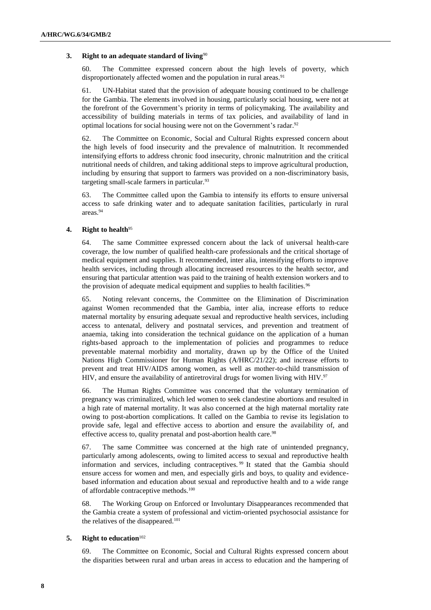## **3. Right to an adequate standard of living**<sup>90</sup>

60. The Committee expressed concern about the high levels of poverty, which disproportionately affected women and the population in rural areas.<sup>91</sup>

61. UN-Habitat stated that the provision of adequate housing continued to be challenge for the Gambia. The elements involved in housing, particularly social housing, were not at the forefront of the Government's priority in terms of policymaking. The availability and accessibility of building materials in terms of tax policies, and availability of land in optimal locations for social housing were not on the Government's radar.<sup>92</sup>

62. The Committee on Economic, Social and Cultural Rights expressed concern about the high levels of food insecurity and the prevalence of malnutrition. It recommended intensifying efforts to address chronic food insecurity, chronic malnutrition and the critical nutritional needs of children, and taking additional steps to improve agricultural production, including by ensuring that support to farmers was provided on a non-discriminatory basis, targeting small-scale farmers in particular.<sup>93</sup>

63. The Committee called upon the Gambia to intensify its efforts to ensure universal access to safe drinking water and to adequate sanitation facilities, particularly in rural areas.<sup>94</sup>

### **4. Right to health**<sup>95</sup>

64. The same Committee expressed concern about the lack of universal health-care coverage, the low number of qualified health-care professionals and the critical shortage of medical equipment and supplies. It recommended, inter alia, intensifying efforts to improve health services, including through allocating increased resources to the health sector, and ensuring that particular attention was paid to the training of health extension workers and to the provision of adequate medical equipment and supplies to health facilities.<sup>96</sup>

65. Noting relevant concerns, the Committee on the Elimination of Discrimination against Women recommended that the Gambia, inter alia, increase efforts to reduce maternal mortality by ensuring adequate sexual and reproductive health services, including access to antenatal, delivery and postnatal services, and prevention and treatment of anaemia, taking into consideration the technical guidance on the application of a human rights-based approach to the implementation of policies and programmes to reduce preventable maternal morbidity and mortality, drawn up by the Office of the United Nations High Commissioner for Human Rights (A/HRC/21/22); and increase efforts to prevent and treat HIV/AIDS among women, as well as mother-to-child transmission of HIV, and ensure the availability of antiretroviral drugs for women living with HIV. $97$ 

66. The Human Rights Committee was concerned that the voluntary termination of pregnancy was criminalized, which led women to seek clandestine abortions and resulted in a high rate of maternal mortality. It was also concerned at the high maternal mortality rate owing to post-abortion complications. It called on the Gambia to revise its legislation to provide safe, legal and effective access to abortion and ensure the availability of, and effective access to, quality prenatal and post-abortion health care.<sup>98</sup>

67. The same Committee was concerned at the high rate of unintended pregnancy, particularly among adolescents, owing to limited access to sexual and reproductive health information and services, including contraceptives. <sup>99</sup> It stated that the Gambia should ensure access for women and men, and especially girls and boys, to quality and evidencebased information and education about sexual and reproductive health and to a wide range of affordable contraceptive methods.<sup>100</sup>

68. The Working Group on Enforced or Involuntary Disappearances recommended that the Gambia create a system of professional and victim-oriented psychosocial assistance for the relatives of the disappeared.<sup>101</sup>

## **5. Right to education**<sup>102</sup>

69. The Committee on Economic, Social and Cultural Rights expressed concern about the disparities between rural and urban areas in access to education and the hampering of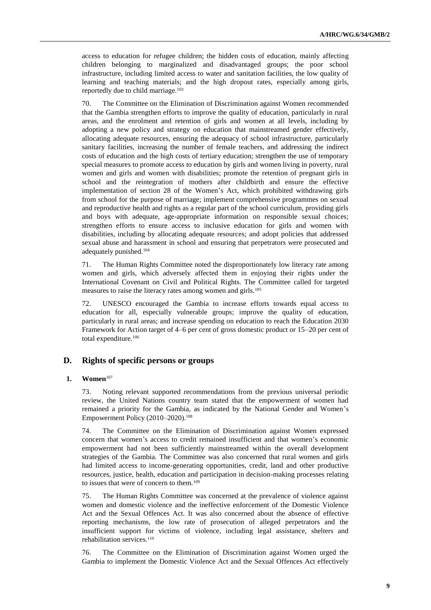access to education for refugee children; the hidden costs of education, mainly affecting children belonging to marginalized and disadvantaged groups; the poor school infrastructure, including limited access to water and sanitation facilities, the low quality of learning and teaching materials; and the high dropout rates, especially among girls, reportedly due to child marriage.<sup>103</sup>

70. The Committee on the Elimination of Discrimination against Women recommended that the Gambia strengthen efforts to improve the quality of education, particularly in rural areas, and the enrolment and retention of girls and women at all levels, including by adopting a new policy and strategy on education that mainstreamed gender effectively, allocating adequate resources, ensuring the adequacy of school infrastructure, particularly sanitary facilities, increasing the number of female teachers, and addressing the indirect costs of education and the high costs of tertiary education; strengthen the use of temporary special measures to promote access to education by girls and women living in poverty, rural women and girls and women with disabilities; promote the retention of pregnant girls in school and the reintegration of mothers after childbirth and ensure the effective implementation of section 28 of the Women's Act, which prohibited withdrawing girls from school for the purpose of marriage; implement comprehensive programmes on sexual and reproductive health and rights as a regular part of the school curriculum, providing girls and boys with adequate, age-appropriate information on responsible sexual choices; strengthen efforts to ensure access to inclusive education for girls and women with disabilities, including by allocating adequate resources; and adopt policies that addressed sexual abuse and harassment in school and ensuring that perpetrators were prosecuted and adequately punished.<sup>104</sup>

71. The Human Rights Committee noted the disproportionately low literacy rate among women and girls, which adversely affected them in enjoying their rights under the International Covenant on Civil and Political Rights. The Committee called for targeted measures to raise the literacy rates among women and girls.<sup>105</sup>

72. UNESCO encouraged the Gambia to increase efforts towards equal access to education for all, especially vulnerable groups; improve the quality of education, particularly in rural areas; and increase spending on education to reach the Education 2030 Framework for Action target of 4–6 per cent of gross domestic product or 15–20 per cent of total expenditure.<sup>106</sup>

## **D. Rights of specific persons or groups**

## **1. Women**<sup>107</sup>

73. Noting relevant supported recommendations from the previous universal periodic review, the United Nations country team stated that the empowerment of women had remained a priority for the Gambia, as indicated by the National Gender and Women's Empowerment Policy (2010–2020).<sup>108</sup>

74. The Committee on the Elimination of Discrimination against Women expressed concern that women's access to credit remained insufficient and that women's economic empowerment had not been sufficiently mainstreamed within the overall development strategies of the Gambia. The Committee was also concerned that rural women and girls had limited access to income-generating opportunities, credit, land and other productive resources, justice, health, education and participation in decision-making processes relating to issues that were of concern to them.<sup>109</sup>

75. The Human Rights Committee was concerned at the prevalence of violence against women and domestic violence and the ineffective enforcement of the Domestic Violence Act and the Sexual Offences Act. It was also concerned about the absence of effective reporting mechanisms, the low rate of prosecution of alleged perpetrators and the insufficient support for victims of violence, including legal assistance, shelters and rehabilitation services.<sup>110</sup>

76. The Committee on the Elimination of Discrimination against Women urged the Gambia to implement the Domestic Violence Act and the Sexual Offences Act effectively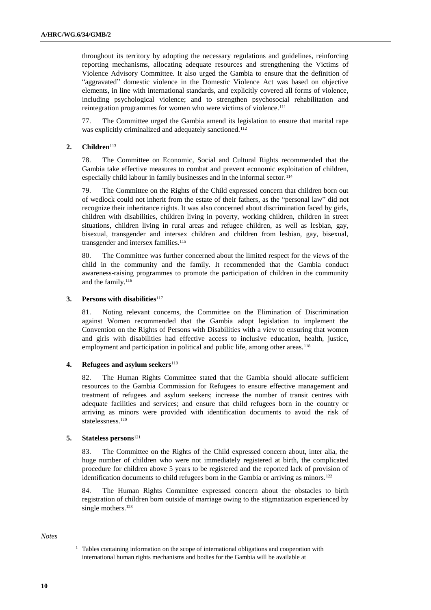throughout its territory by adopting the necessary regulations and guidelines, reinforcing reporting mechanisms, allocating adequate resources and strengthening the Victims of Violence Advisory Committee. It also urged the Gambia to ensure that the definition of "aggravated" domestic violence in the Domestic Violence Act was based on objective elements, in line with international standards, and explicitly covered all forms of violence, including psychological violence; and to strengthen psychosocial rehabilitation and reintegration programmes for women who were victims of violence.<sup>111</sup>

77. The Committee urged the Gambia amend its legislation to ensure that marital rape was explicitly criminalized and adequately sanctioned.<sup>112</sup>

## **2. Children**<sup>113</sup>

78. The Committee on Economic, Social and Cultural Rights recommended that the Gambia take effective measures to combat and prevent economic exploitation of children, especially child labour in family businesses and in the informal sector.<sup>114</sup>

79. The Committee on the Rights of the Child expressed concern that children born out of wedlock could not inherit from the estate of their fathers, as the "personal law" did not recognize their inheritance rights. It was also concerned about discrimination faced by girls, children with disabilities, children living in poverty, working children, children in street situations, children living in rural areas and refugee children, as well as lesbian, gay, bisexual, transgender and intersex children and children from lesbian, gay, bisexual, transgender and intersex families.<sup>115</sup>

80. The Committee was further concerned about the limited respect for the views of the child in the community and the family. It recommended that the Gambia conduct awareness-raising programmes to promote the participation of children in the community and the family.<sup>116</sup>

### **3. Persons with disabilities**<sup>117</sup>

81. Noting relevant concerns, the Committee on the Elimination of Discrimination against Women recommended that the Gambia adopt legislation to implement the Convention on the Rights of Persons with Disabilities with a view to ensuring that women and girls with disabilities had effective access to inclusive education, health, justice, employment and participation in political and public life, among other areas.<sup>118</sup>

### **4. Refugees and asylum seekers**<sup>119</sup>

82. The Human Rights Committee stated that the Gambia should allocate sufficient resources to the Gambia Commission for Refugees to ensure effective management and treatment of refugees and asylum seekers; increase the number of transit centres with adequate facilities and services; and ensure that child refugees born in the country or arriving as minors were provided with identification documents to avoid the risk of statelessness.<sup>120</sup>

### **5. Stateless persons**<sup>121</sup>

83. The Committee on the Rights of the Child expressed concern about, inter alia, the huge number of children who were not immediately registered at birth, the complicated procedure for children above 5 years to be registered and the reported lack of provision of identification documents to child refugees born in the Gambia or arriving as minors.<sup>122</sup>

84. The Human Rights Committee expressed concern about the obstacles to birth registration of children born outside of marriage owing to the stigmatization experienced by single mothers.<sup>123</sup>

## *Notes*

<sup>&</sup>lt;sup>1</sup> Tables containing information on the scope of international obligations and cooperation with international human rights mechanisms and bodies for the Gambia will be available at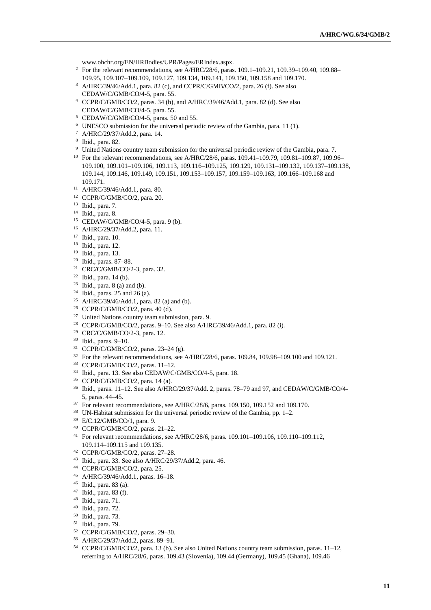[www.ohchr.org/EN/HRBodies/UPR/Pages/ERIndex.aspx.](file://///fshq.ad.ohchr.org/redirected$/naidoo/My%20Documents/My%20Documents/3rd_Cycle/2_Pre-session/Drafting_34_The_Gambia/1_Drafting/5_editing/www.ohchr.org/EN/HRBodies/UPR/Pages/ERIndex.aspx)

- <sup>2</sup> For the relevant recommendations, see A/HRC/28/6, paras. 109.1–109.21, 109.39–109.40, 109.88– 109.95, 109.107–109.109, 109.127, 109.134, 109.141, 109.150, 109.158 and 109.170.
- A/HRC/39/46/Add.1, para. 82 (c), and CCPR/C/GMB/CO/2, para. 26 (f). See also CEDAW/C/GMB/CO/4-5, para. 55.
- CCPR/C/GMB/CO/2, paras. 34 (b), and A/HRC/39/46/Add.1, para. 82 (d). See also CEDAW/C/GMB/CO/4-5, para. 55.
- CEDAW/C/GMB/CO/4-5, paras. 50 and 55.
- UNESCO submission for the universal periodic review of the Gambia, para. 11 (1).
- A/HRC/29/37/Add.2, para. 14.
- Ibid., para. 82.
- <sup>9</sup> United Nations country team submission for the universal periodic review of the Gambia, para. 7.
- <sup>10</sup> For the relevant recommendations, see A/HRC/28/6, paras. 109.41-109.79, 109.81-109.87, 109.96-109.100, 109.101–109.106, 109.113, 109.116–109.125, 109.129, 109.131–109.132, 109.137–109.138, 109.144, 109.146, 109.149, 109.151, 109.153–109.157, 109.159–109.163, 109.166–109.168 and 109.171.
- A/HRC/39/46/Add.1, para. 80.
- CCPR/C/GMB/CO/2, para. 20.
- Ibid., para. 7.
- Ibid., para. 8.
- CEDAW/C/GMB/CO/4-5, para. 9 (b).
- A/HRC/29/37/Add.2, para. 11.
- Ibid., para. 10.
- Ibid., para. 12.
- Ibid., para. 13.
- Ibid., paras. 87–88.
- CRC/C/GMB/CO/2-3, para. 32.
- Ibid., para. 14 (b).
- Ibid., para. 8 (a) and (b).
- <sup>24</sup> Ibid., paras. 25 and 26 (a).
- <sup>25</sup> A/HRC/39/46/Add.1, para. 82 (a) and (b).
- CCPR/C/GMB/CO/2, para. 40 (d).
- United Nations country team submission, para. 9.
- CCPR/C/GMB/CO/2, paras. 9–10. See also A/HRC/39/46/Add.1, para. 82 (i).
- CRC/C/GMB/CO/2-3, para. 12.
- Ibid., paras. 9–10.
- CCPR/C/GMB/CO/2, paras. 23–24 (g).
- <sup>32</sup> For the relevant recommendations, see A/HRC/28/6, paras. 109.84, 109.98–109.100 and 109.121.
- CCPR/C/GMB/CO/2, paras. 11–12.
- Ibid., para. 13. See also CEDAW/C/GMB/CO/4-5, para. 18.
- CCPR/C/GMB/CO/2, para. 14 (a).
- Ibid., paras. 11–12. See also A/HRC/29/37/Add. 2, paras. 78–79 and 97, and CEDAW/C/GMB/CO/4- 5, paras. 44–45.
- <sup>37</sup> For relevant recommendations, see A/HRC/28/6, paras. 109.150, 109.152 and 109.170.
- UN-Habitat submission for the universal periodic review of the Gambia, pp. 1–2.
- E/C.12/GMB/CO/1, para. 9.
- CCPR/C/GMB/CO/2, paras. 21–22.
- For relevant recommendations, see A/HRC/28/6, paras. 109.101–109.106, 109.110–109.112, 109.114–109.115 and 109.135.
- CCPR/C/GMB/CO/2, paras. 27–28.
- Ibid., para. 33. See also A/HRC/29/37/Add.2, para. 46.
- CCPR/C/GMB/CO/2, para. 25.
- A/HRC/39/46/Add.1, paras. 16–18.
- Ibid., para. 83 (a).
- Ibid., para. 83 (f).
- Ibid., para. 71.
- Ibid., para. 72.
- Ibid., para. 73.
- Ibid., para. 79.
- CCPR/C/GMB/CO/2, paras. 29–30.
- A/HRC/29/37/Add.2, paras. 89–91.
- CCPR/C/GMB/CO/2, para. 13 (b). See also United Nations country team submission, paras. 11–12, referring to A/HRC/28/6, paras. 109.43 (Slovenia), 109.44 (Germany), 109.45 (Ghana), 109.46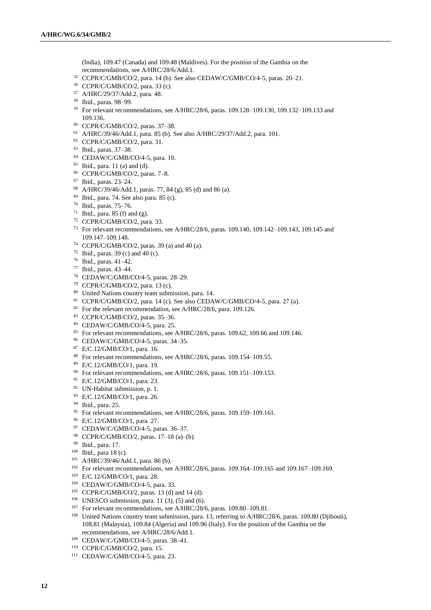(India), 109.47 (Canada) and 109.48 (Maldives). For the position of the Gambia on the recommendations, see A/HRC/28/6/Add.1.

- CCPR/C/GMB/CO/2, para. 14 (b). See also CEDAW/C/GMB/CO/4-5, paras. 20–21.
- CCPR/C/GMB/CO/2, para. 33 (c).
- A/HRC/29/37/Add.2, para. 48.
- Ibid., paras. 98–99.
- For relevant recommendations, see A/HRC/28/6, paras. 109.128–109.130, 109.132–109.133 and 109.136.
- CCPR/C/GMB/CO/2, paras. 37–38.
- A/HRC/39/46/Add.1, para. 85 (b). See also A/HRC/29/37/Add.2, para. 101.
- CCPR/C/GMB/CO/2, para. 31.
- Ibid., paras. 37–38.
- CEDAW/C/GMB/CO/4-5, para. 10.
- Ibid., para. 11 (a) and (d).
- CCPR/C/GMB/CO/2, paras. 7–8.
- Ibid., paras. 23–24.
- A/HRC/39/46/Add.1, paras. 77, 84 (g), 85 (d) and 86 (a).
- Ibid., para. 74. See also para. 85 (c).
- Ibid., paras. 75–76.
- <sup>71</sup> Ibid., para. 85 (f) and (g).
- CCPR/C/GMB/CO/2, para. 33.
- For relevant recommendations, see A/HRC/28/6, paras. 109.140, 109.142–109.143, 109.145 and 109.147–109.148.
- CCPR/C/GMB/CO/2, paras. 39 (a) and 40 (a).
- Ibid., paras. 39 (c) and 40 (c).
- Ibid., paras. 41–42.
- Ibid., paras. 43–44.
- CEDAW/C/GMB/CO/4-5, paras. 28–29.
- CCPR/C/GMB/CO/2, para. 13 (c).
- United Nations country team submission, para. 14.
- CCPR/C/GMB/CO/2, para. 14 (c). See also CEDAW/C/GMB/CO/4-5, para. 27 (a).
- <sup>82</sup> For the relevant recommendation, see A/HRC/28/6, para. 109.126.
- CCPR/C/GMB/CO/2, paras. 35–36.
- CEDAW/C/GMB/CO/4-5, para. 25.
- For relevant recommendations, see A/HRC/28/6, paras. 109.62, 109.66 and 109.146.
- CEDAW/C/GMB/CO/4-5, paras. 34–35.
- E/C.12/GMB/CO/1, para. 16.
- For relevant recommendations, see A/HRC/28/6, paras. 109.154–109.55.
- E/C.12/GMB/CO/1, para. 19.
- <sup>90</sup> For relevant recommendations, see A/HRC/28/6, paras. 109.151-109.153.
- E/C.12/GMB/CO/1, para. 23.
- UN-Habitat submission, p. 1.
- E/C.12/GMB/CO/1, para. 26.
- Ibid., para. 25.
- <sup>95</sup> For relevant recommendations, see A/HRC/28/6, paras. 109.159–109.161.
- E/C.12/GMB/CO/1, para. 27.
- CEDAW/C/GMB/CO/4-5, paras. 36–37.
- CCPR/C/GMB/CO/2, paras. 17–18 (a)–(b).
- Ibid., para. 17.
- Ibid., para 18 (c).
- A/HRC/39/46/Add.1, para. 86 (b).
- For relevant recommendations, see A/HRC/28/6, paras. 109.164–109.165 and 109.167–109.169.
- E/C.12/GMB/CO/1, para. 28.
- CEDAW/C/GMB/CO/4-5, para. 33.
- CCPR/C/GMB/CO/2, paras. 13 (d) and 14 (d).
- UNESCO submission, para. 11 (3), (5) and (6).
- <sup>107</sup> For relevant recommendations, see A/HRC/28/6, paras. 109.80–109.81.
- United Nations country team submission, para. 13, referring to A/HRC/28/6, paras. 109.80 (Djibouti), 108.81 (Malaysia), 109.84 (Algeria) and 109.96 (Italy). For the position of the Gambia on the recommendations, see A/HRC/28/6/Add.1.
- CEDAW/C/GMB/CO/4-5, paras. 38–41.
- CCPR/C/GMB/CO/2, para. 15.
- CEDAW/C/GMB/CO/4-5, para. 23.